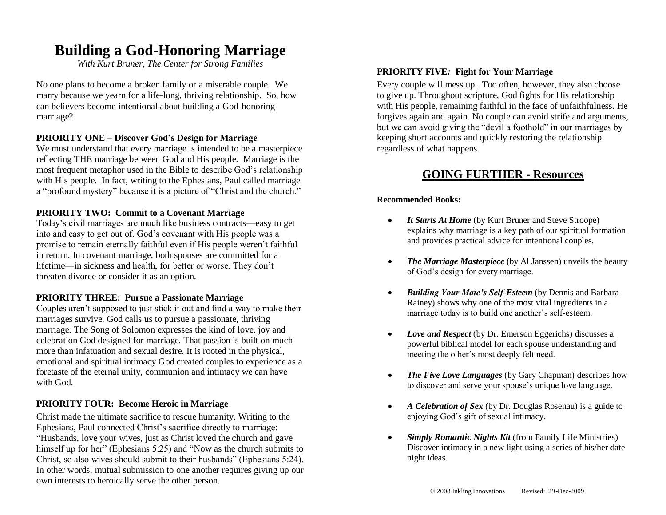# **Building a God-Honoring Marriage**

*With Kurt Bruner, The Center for Strong Families*

No one plans to become a broken family or a miserable couple. We marry because we yearn for a life-long, thriving relationship. So, how can believers become intentional about building a God-honoring marriage?

#### **PRIORITY ONE** – **Discover God's Design for Marriage**

We must understand that every marriage is intended to be a masterpiece reflecting THE marriage between God and His people. Marriage is the most frequent metaphor used in the Bible to describe God's relationship with His people. In fact, writing to the Ephesians, Paul called marriage a "profound mystery" because it is a picture of "Christ and the church."

#### **PRIORITY TWO: Commit to a Covenant Marriage**

Today's civil marriages are much like business contracts—easy to get into and easy to get out of. God's covenant with His people was a promise to remain eternally faithful even if His people weren't faithful in return. In covenant marriage, both spouses are committed for a lifetime—in sickness and health, for better or worse. They don't threaten divorce or consider it as an option.

#### **PRIORITY THREE: Pursue a Passionate Marriage**

Couples aren't supposed to just stick it out and find a way to make their marriages survive. God calls us to pursue a passionate, thriving marriage. The Song of Solomon expresses the kind of love, joy and celebration God designed for marriage. That passion is built on much more than infatuation and sexual desire. It is rooted in the physical, emotional and spiritual intimacy God created couples to experience as a foretaste of the eternal unity, communion and intimacy we can have with God.

#### **PRIORITY FOUR: Become Heroic in Marriage**

Christ made the ultimate sacrifice to rescue humanity. Writing to the Ephesians, Paul connected Christ's sacrifice directly to marriage: "Husbands, love your wives, just as Christ loved the church and gave himself up for her" (Ephesians 5:25) and "Now as the church submits to Christ, so also wives should submit to their husbands" (Ephesians 5:24). In other words, mutual submission to one another requires giving up our own interests to heroically serve the other person.

#### **PRIORITY FIVE***:* **Fight for Your Marriage**

Every couple will mess up. Too often, however, they also choose to give up. Throughout scripture, God fights for His relationship with His people, remaining faithful in the face of unfaithfulness. He forgives again and again. No couple can avoid strife and arguments, but we can avoid giving the "devil a foothold" in our marriages by keeping short accounts and quickly restoring the relationship regardless of what happens.

### **GOING FURTHER - Resources**

#### **Recommended Books:**

- *It Starts At Home* (by Kurt Bruner and Steve Stroope) explains why marriage is a key path of our spiritual formation and provides practical advice for intentional couples.
- The Marriage Masterpiece (by Al Janssen) unveils the beauty of God's design for every marriage.
- *Building Your Mate's Self-Esteem* (by Dennis and Barbara Rainey) shows why one of the most vital ingredients in a marriage today is to build one another's self-esteem.
- *Love and Respect* (by Dr. Emerson Eggerichs) discusses a powerful biblical model for each spouse understanding and meeting the other's most deeply felt need.
- *The Five Love Languages* (by Gary Chapman) describes how to discover and serve your spouse's unique love language.
- *A Celebration of Sex* (by Dr. Douglas Rosenau) is a guide to enjoying God's gift of sexual intimacy.
- *Simply Romantic Nights Kit* (from Family Life Ministries) Discover intimacy in a new light using a series of his/her date night ideas.